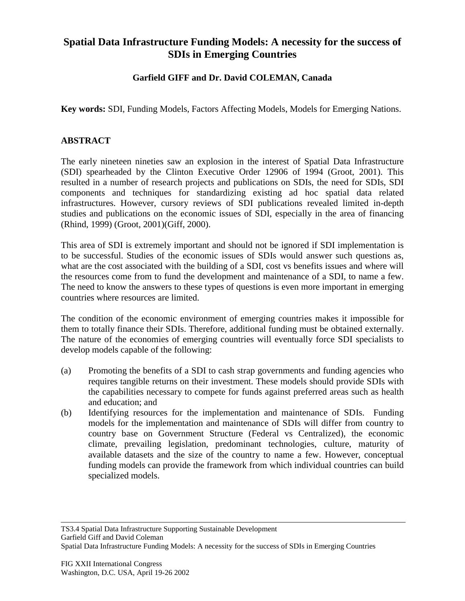## **Spatial Data Infrastructure Funding Models: A necessity for the success of SDIs in Emerging Countries**

## **Garfield GIFF and Dr. David COLEMAN, Canada**

**Key words:** SDI, Funding Models, Factors Affecting Models, Models for Emerging Nations.

## **ABSTRACT**

The early nineteen nineties saw an explosion in the interest of Spatial Data Infrastructure (SDI) spearheaded by the Clinton Executive Order 12906 of 1994 (Groot, 2001). This resulted in a number of research projects and publications on SDIs, the need for SDIs, SDI components and techniques for standardizing existing ad hoc spatial data related infrastructures. However, cursory reviews of SDI publications revealed limited in-depth studies and publications on the economic issues of SDI, especially in the area of financing (Rhind, 1999) (Groot, 2001)(Giff, 2000).

This area of SDI is extremely important and should not be ignored if SDI implementation is to be successful. Studies of the economic issues of SDIs would answer such questions as, what are the cost associated with the building of a SDI, cost vs benefits issues and where will the resources come from to fund the development and maintenance of a SDI, to name a few. The need to know the answers to these types of questions is even more important in emerging countries where resources are limited.

The condition of the economic environment of emerging countries makes it impossible for them to totally finance their SDIs. Therefore, additional funding must be obtained externally. The nature of the economies of emerging countries will eventually force SDI specialists to develop models capable of the following:

- (a) Promoting the benefits of a SDI to cash strap governments and funding agencies who requires tangible returns on their investment. These models should provide SDIs with the capabilities necessary to compete for funds against preferred areas such as health and education; and
- (b) Identifying resources for the implementation and maintenance of SDIs. Funding models for the implementation and maintenance of SDIs will differ from country to country base on Government Structure (Federal vs Centralized), the economic climate, prevailing legislation, predominant technologies, culture, maturity of available datasets and the size of the country to name a few. However, conceptual funding models can provide the framework from which individual countries can build specialized models.

TS3.4 Spatial Data Infrastructure Supporting Sustainable Development Garfield Giff and David Coleman Spatial Data Infrastructure Funding Models: A necessity for the success of SDIs in Emerging Countries